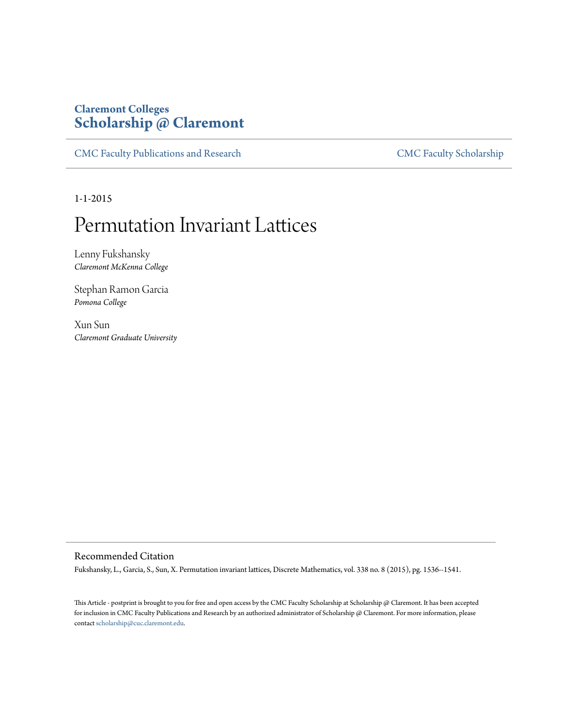## **Claremont Colleges [Scholarship @ Claremont](http://scholarship.claremont.edu)**

[CMC Faculty Publications and Research](http://scholarship.claremont.edu/cmc_fac_pub) [CMC Faculty Scholarship](http://scholarship.claremont.edu/cmc_faculty)

1-1-2015

# Permutation Invariant Lattices

Lenny Fukshansky *Claremont McKenna College*

Stephan Ramon Garcia *Pomona College*

Xun Sun *Claremont Graduate University*

### Recommended Citation

Fukshansky, L., Garcia, S., Sun, X. Permutation invariant lattices, Discrete Mathematics, vol. 338 no. 8 (2015), pg. 1536--1541.

This Article - postprint is brought to you for free and open access by the CMC Faculty Scholarship at Scholarship @ Claremont. It has been accepted for inclusion in CMC Faculty Publications and Research by an authorized administrator of Scholarship @ Claremont. For more information, please contact [scholarship@cuc.claremont.edu](mailto:scholarship@cuc.claremont.edu).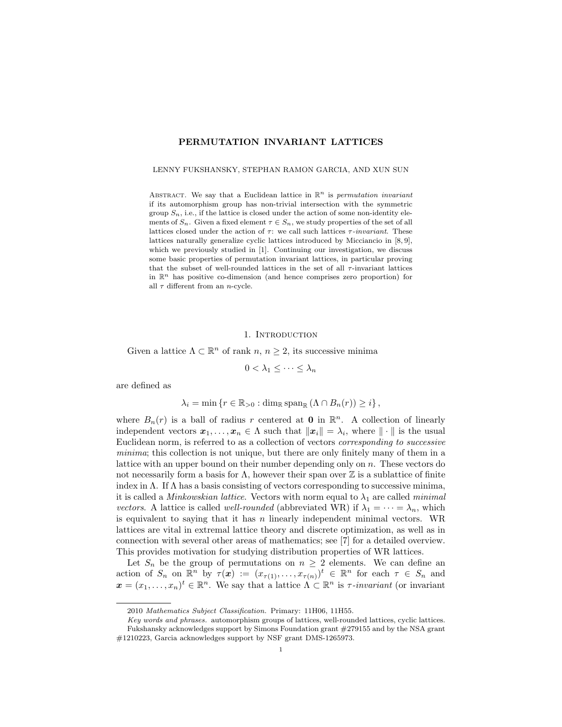#### PERMUTATION INVARIANT LATTICES

#### LENNY FUKSHANSKY, STEPHAN RAMON GARCIA, AND XUN SUN

ABSTRACT. We say that a Euclidean lattice in  $\mathbb{R}^n$  is permutation invariant if its automorphism group has non-trivial intersection with the symmetric group  $S_n$ , i.e., if the lattice is closed under the action of some non-identity elements of  $S_n$ . Given a fixed element  $\tau \in S_n$ , we study properties of the set of all lattices closed under the action of  $\tau$ : we call such lattices  $\tau$ -invariant. These lattices naturally generalize cyclic lattices introduced by Micciancio in [\[8,](#page-8-0) [9\]](#page-8-1), which we previously studied in [\[1\]](#page-8-2). Continuing our investigation, we discuss some basic properties of permutation invariant lattices, in particular proving that the subset of well-rounded lattices in the set of all  $\tau$ -invariant lattices in  $\mathbb{R}^n$  has positive co-dimension (and hence comprises zero proportion) for all  $\tau$  different from an *n*-cycle.

#### 1. INTRODUCTION

<span id="page-1-0"></span>Given a lattice  $\Lambda \subset \mathbb{R}^n$  of rank  $n, n \geq 2$ , its successive minima

$$
0 < \lambda_1 \leq \cdots \leq \lambda_n
$$

are defined as

$$
\lambda_i = \min \left\{ r \in \mathbb{R}_{>0} : \operatorname{dim}_{\mathbb{R}} \operatorname{span}_{\mathbb{R}} \left( \Lambda \cap B_n(r) \right) \geq i \right\},\
$$

where  $B_n(r)$  is a ball of radius r centered at **0** in  $\mathbb{R}^n$ . A collection of linearly independent vectors  $x_1, \ldots, x_n \in \Lambda$  such that  $||x_i|| = \lambda_i$ , where  $|| \cdot ||$  is the usual Euclidean norm, is referred to as a collection of vectors corresponding to successive minima; this collection is not unique, but there are only finitely many of them in a lattice with an upper bound on their number depending only on  $n$ . These vectors do not necessarily form a basis for  $\Lambda$ , however their span over  $\mathbb Z$  is a sublattice of finite index in  $\Lambda$ . If  $\Lambda$  has a basis consisting of vectors corresponding to successive minima, it is called a *Minkowskian lattice*. Vectors with norm equal to  $\lambda_1$  are called *minimal* vectors. A lattice is called well-rounded (abbreviated WR) if  $\lambda_1 = \cdots = \lambda_n$ , which is equivalent to saying that it has  $n$  linearly independent minimal vectors. WR lattices are vital in extremal lattice theory and discrete optimization, as well as in connection with several other areas of mathematics; see [\[7\]](#page-8-3) for a detailed overview. This provides motivation for studying distribution properties of WR lattices.

Let  $S_n$  be the group of permutations on  $n \geq 2$  elements. We can define an action of  $S_n$  on  $\mathbb{R}^n$  by  $\tau(x) := (x_{\tau(1)}, \ldots, x_{\tau(n)})^t \in \mathbb{R}^n$  for each  $\tau \in S_n$  and  $\boldsymbol{x}=(x_1,\ldots,x_n)^t\in\mathbb{R}^n$ . We say that a lattice  $\Lambda\subset\mathbb{R}^n$  is  $\tau$ -invariant (or invariant

<sup>2010</sup> Mathematics Subject Classification. Primary: 11H06, 11H55.

Key words and phrases. automorphism groups of lattices, well-rounded lattices, cyclic lattices. Fukshansky acknowledges support by Simons Foundation grant #279155 and by the NSA grant #1210223, Garcia acknowledges support by NSF grant DMS-1265973.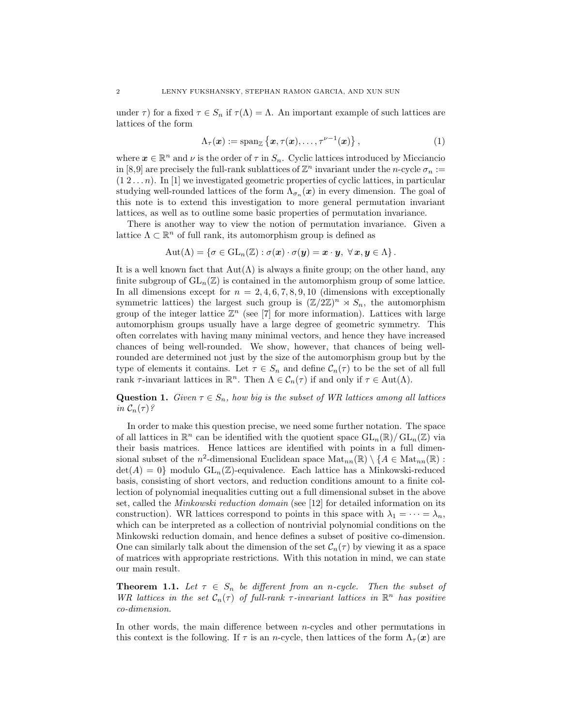under  $\tau$ ) for a fixed  $\tau \in S_n$  if  $\tau(\Lambda) = \Lambda$ . An important example of such lattices are lattices of the form

<span id="page-2-1"></span>
$$
\Lambda_{\tau}(\boldsymbol{x}) := \operatorname{span}_{\mathbb{Z}} \left\{ \boldsymbol{x}, \tau(\boldsymbol{x}), \ldots, \tau^{\nu-1}(\boldsymbol{x}) \right\},\tag{1}
$$

where  $\boldsymbol{x} \in \mathbb{R}^n$  and  $\nu$  is the order of  $\tau$  in  $S_n$ . Cyclic lattices introduced by Micciancio in [\[8](#page-8-0)[,9\]](#page-8-1) are precisely the full-rank sublattices of  $\mathbb{Z}^n$  invariant under the *n*-cycle  $\sigma_n :=$  $(1\ 2...n)$ . In [\[1\]](#page-8-2) we investigated geometric properties of cyclic lattices, in particular studying well-rounded lattices of the form  $\Lambda_{\sigma_n}(x)$  in every dimension. The goal of this note is to extend this investigation to more general permutation invariant lattices, as well as to outline some basic properties of permutation invariance.

There is another way to view the notion of permutation invariance. Given a lattice  $\Lambda \subset \mathbb{R}^n$  of full rank, its automorphism group is defined as

$$
\mathrm{Aut}(\Lambda)=\left\{\sigma\in\mathrm{GL}_n(\mathbb{Z}): \sigma(\bm{x})\cdot\sigma(\bm{y})=\bm{x}\cdot\bm{y},\ \forall\,\bm{x},\bm{y}\in\Lambda\right\}.
$$

It is a well known fact that  $\text{Aut}(\Lambda)$  is always a finite group; on the other hand, any finite subgroup of  $GL_n(\mathbb{Z})$  is contained in the automorphism group of some lattice. In all dimensions except for  $n = 2, 4, 6, 7, 8, 9, 10$  (dimensions with exceptionally symmetric lattices) the largest such group is  $(\mathbb{Z}/2\mathbb{Z})^n \rtimes S_n$ , the automorphism group of the integer lattice  $\mathbb{Z}^n$  (see [\[7\]](#page-8-3) for more information). Lattices with large automorphism groups usually have a large degree of geometric symmetry. This often correlates with having many minimal vectors, and hence they have increased chances of being well-rounded. We show, however, that chances of being wellrounded are determined not just by the size of the automorphism group but by the type of elements it contains. Let  $\tau \in S_n$  and define  $\mathcal{C}_n(\tau)$  to be the set of all full rank  $\tau$ -invariant lattices in  $\mathbb{R}^n$ . Then  $\Lambda \in \mathcal{C}_n(\tau)$  if and only if  $\tau \in \text{Aut}(\Lambda)$ .

**Question 1.** Given  $\tau \in S_n$ , how big is the subset of WR lattices among all lattices in  $\mathcal{C}_n(\tau)$ ?

In order to make this question precise, we need some further notation. The space of all lattices in  $\mathbb{R}^n$  can be identified with the quotient space  $GL_n(\mathbb{R})/GL_n(\mathbb{Z})$  via their basis matrices. Hence lattices are identified with points in a full dimensional subset of the  $n^2$ -dimensional Euclidean space  $\text{Mat}_{nn}(\mathbb{R}) \setminus \{A \in \text{Mat}_{nn}(\mathbb{R}) :$  $\det(A) = 0$  modulo  $GL_n(\mathbb{Z})$ -equivalence. Each lattice has a Minkowski-reduced basis, consisting of short vectors, and reduction conditions amount to a finite collection of polynomial inequalities cutting out a full dimensional subset in the above set, called the Minkowski reduction domain (see [\[12\]](#page-8-4) for detailed information on its construction). WR lattices correspond to points in this space with  $\lambda_1 = \cdots = \lambda_n$ , which can be interpreted as a collection of nontrivial polynomial conditions on the Minkowski reduction domain, and hence defines a subset of positive co-dimension. One can similarly talk about the dimension of the set  $\mathcal{C}_n(\tau)$  by viewing it as a space of matrices with appropriate restrictions. With this notation in mind, we can state our main result.

<span id="page-2-0"></span>**Theorem 1.1.** Let  $\tau \in S_n$  be different from an n-cycle. Then the subset of WR lattices in the set  $C_n(\tau)$  of full-rank  $\tau$ -invariant lattices in  $\mathbb{R}^n$  has positive co-dimension.

In other words, the main difference between n-cycles and other permutations in this context is the following. If  $\tau$  is an *n*-cycle, then lattices of the form  $\Lambda_{\tau}(\boldsymbol{x})$  are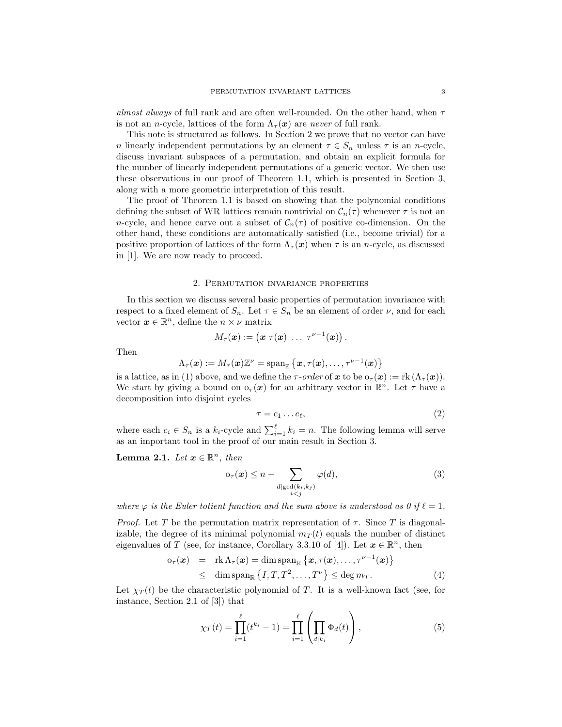almost always of full rank and are often well-rounded. On the other hand, when  $\tau$ is not an *n*-cycle, lattices of the form  $\Lambda_{\tau}(x)$  are *never* of full rank.

This note is structured as follows. In Section [2](#page-3-0) we prove that no vector can have n linearly independent permutations by an element  $\tau \in S_n$  unless  $\tau$  is an n-cycle, discuss invariant subspaces of a permutation, and obtain an explicit formula for the number of linearly independent permutations of a generic vector. We then use these observations in our proof of Theorem [1.1,](#page-2-0) which is presented in Section [3,](#page-5-0) along with a more geometric interpretation of this result.

The proof of Theorem [1.1](#page-2-0) is based on showing that the polynomial conditions defining the subset of WR lattices remain nontrivial on  $C_n(\tau)$  whenever  $\tau$  is not an n-cycle, and hence carve out a subset of  $C_n(\tau)$  of positive co-dimension. On the other hand, these conditions are automatically satisfied (i.e., become trivial) for a positive proportion of lattices of the form  $\Lambda_\tau(\mathbf{x})$  when  $\tau$  is an *n*-cycle, as discussed in [\[1\]](#page-8-2). We are now ready to proceed.

#### 2. Permutation invariance properties

<span id="page-3-0"></span>In this section we discuss several basic properties of permutation invariance with respect to a fixed element of  $S_n$ . Let  $\tau \in S_n$  be an element of order  $\nu$ , and for each vector  $\boldsymbol{x} \in \mathbb{R}^n$ , define the  $n \times \nu$  matrix

$$
M_\tau(\boldsymbol{x}) := \begin{pmatrix} \boldsymbol{x} \ \tau(\boldsymbol{x}) \ \ldots \ \tau^{\nu-1}(\boldsymbol{x}) \end{pmatrix}.
$$

Then

$$
\Lambda_\tau(\boldsymbol{x}) := M_\tau(\boldsymbol{x}) \mathbb{Z}^\nu = \operatorname{span}_\mathbb{Z} \left\{ \boldsymbol{x}, \tau(\boldsymbol{x}), \ldots, \tau^{\nu-1}(\boldsymbol{x}) \right\}.
$$

is a lattice, as in [\(1\)](#page-2-1) above, and we define the  $\tau$ -order of x to be  $o_\tau(\mathbf{x}) := \text{rk} (\Lambda_\tau(\mathbf{x})).$ We start by giving a bound on  $o_\tau(x)$  for an arbitrary vector in  $\mathbb{R}^n$ . Let  $\tau$  have a decomposition into disjoint cycles

<span id="page-3-4"></span>
$$
\tau = c_1 \dots c_\ell,\tag{2}
$$

where each  $c_i \in S_n$  is a  $k_i$ -cycle and  $\sum_{i=1}^{\ell} k_i = n$ . The following lemma will serve as an important tool in the proof of our main result in Section [3.](#page-5-0)

<span id="page-3-3"></span>**Lemma 2.1.** Let  $\mathbf{x} \in \mathbb{R}^n$ , then

<span id="page-3-5"></span>
$$
o_{\tau}(\boldsymbol{x}) \le n - \sum_{\substack{d \mid \gcd(k_i, k_j) \\ i < j}} \varphi(d),\tag{3}
$$

where  $\varphi$  is the Euler totient function and the sum above is understood as 0 if  $\ell = 1$ .

Proof. Let T be the permutation matrix representation of  $\tau$ . Since T is diagonalizable, the degree of its minimal polynomial  $m<sub>T</sub>(t)$  equals the number of distinct eigenvalues of T (see, for instance, Corollary 3.3.10 of [\[4\]](#page-8-5)). Let  $x \in \mathbb{R}^n$ , then

<span id="page-3-2"></span>
$$
\begin{array}{rcl}\n\mathbf{o}_{\tau}(\boldsymbol{x}) & = & \text{rk}\,\Lambda_{\tau}(\boldsymbol{x}) = \dim \text{span}_{\mathbb{R}}\left\{\boldsymbol{x}, \tau(\boldsymbol{x}), \ldots, \tau^{\nu-1}(\boldsymbol{x})\right\} \\
& \leq & \dim \text{span}_{\mathbb{R}}\left\{I, T, T^2, \ldots, T^{\nu}\right\} \leq \deg m_T.\n\end{array} \tag{4}
$$

Let  $\chi_T(t)$  be the characteristic polynomial of T. It is a well-known fact (see, for instance, Section 2.1 of [\[3\]](#page-8-6)) that

<span id="page-3-1"></span>
$$
\chi_T(t) = \prod_{i=1}^{\ell} (t^{k_i} - 1) = \prod_{i=1}^{\ell} \left( \prod_{d|k_i} \Phi_d(t) \right),
$$
 (5)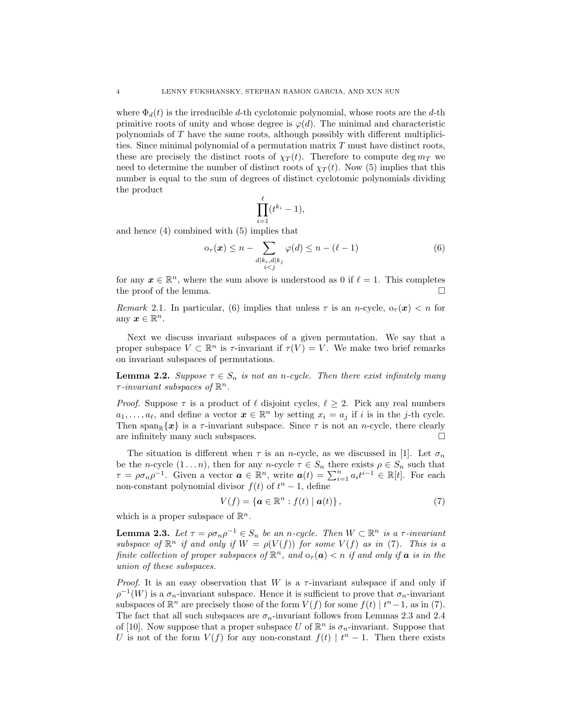where  $\Phi_d(t)$  is the irreducible d-th cyclotomic polynomial, whose roots are the d-th primitive roots of unity and whose degree is  $\varphi(d)$ . The minimal and characteristic polynomials of T have the same roots, although possibly with different multiplicities. Since minimal polynomial of a permutation matrix  $T$  must have distinct roots, these are precisely the distinct roots of  $\chi_T(t)$ . Therefore to compute deg  $m_T$  we need to determine the number of distinct roots of  $\chi_T(t)$ . Now [\(5\)](#page-3-1) implies that this number is equal to the sum of degrees of distinct cyclotomic polynomials dividing the product

$$
\prod_{i=1}^{\ell} (t^{k_i} - 1),
$$

and hence [\(4\)](#page-3-2) combined with [\(5\)](#page-3-1) implies that

<span id="page-4-0"></span>
$$
o_{\tau}(\boldsymbol{x}) \le n - \sum_{\substack{d \mid k_i, d \mid k_j \\ i < j}} \varphi(d) \le n - (\ell - 1) \tag{6}
$$

for any  $x \in \mathbb{R}^n$ , where the sum above is understood as 0 if  $\ell = 1$ . This completes the proof of the lemma.

Remark 2.1. In particular, [\(6\)](#page-4-0) implies that unless  $\tau$  is an n-cycle,  $o_{\tau}(\mathbf{x}) < n$  for any  $x \in \mathbb{R}^n$ .

Next we discuss invariant subspaces of a given permutation. We say that a proper subspace  $V \subset \mathbb{R}^n$  is  $\tau$ -invariant if  $\tau(V) = V$ . We make two brief remarks on invariant subspaces of permutations.

**Lemma 2.2.** Suppose  $\tau \in S_n$  is not an n-cycle. Then there exist infinitely many  $\tau$ -invariant subspaces of  $\mathbb{R}^n$ .

*Proof.* Suppose  $\tau$  is a product of  $\ell$  disjoint cycles,  $\ell \geq 2$ . Pick any real numbers  $a_1, \ldots, a_\ell$ , and define a vector  $\boldsymbol{x} \in \mathbb{R}^n$  by setting  $x_i = a_j$  if i is in the j-th cycle. Then span<sub>R</sub> $\{x\}$  is a  $\tau$ -invariant subspace. Since  $\tau$  is not an *n*-cycle, there clearly are infinitely many such subspaces.

The situation is different when  $\tau$  is an *n*-cycle, as we discussed in [\[1\]](#page-8-2). Let  $\sigma_n$ be the n-cycle  $(1 \dots n)$ , then for any n-cycle  $\tau \in S_n$  there exists  $\rho \in S_n$  such that  $\tau = \rho \sigma_n \rho^{-1}$ . Given a vector  $\boldsymbol{a} \in \mathbb{R}^n$ , write  $\boldsymbol{a}(t) = \sum_{i=1}^n a_i t^{i-1} \in \mathbb{R}[t]$ . For each non-constant polynomial divisor  $f(t)$  of  $t<sup>n</sup> - 1$ , define

<span id="page-4-1"></span>
$$
V(f) = \{ \boldsymbol{a} \in \mathbb{R}^n : f(t) \mid \boldsymbol{a}(t) \},\tag{7}
$$

which is a proper subspace of  $\mathbb{R}^n$ .

<span id="page-4-2"></span>**Lemma 2.3.** Let  $\tau = \rho \sigma_n \rho^{-1} \in S_n$  be an n-cycle. Then  $W \subset \mathbb{R}^n$  is a  $\tau$ -invariant subspace of  $\mathbb{R}^n$  if and only if  $W = \rho(V(f))$  for some  $V(f)$  as in [\(7\)](#page-4-1). This is a finite collection of proper subspaces of  $\mathbb{R}^n$ , and  $o_\tau(\boldsymbol{a}) < n$  if and only if  $\boldsymbol{a}$  is in the union of these subspaces.

*Proof.* It is an easy observation that W is a  $\tau$ -invariant subspace if and only if  $\rho^{-1}(W)$  is a  $\sigma_n$ -invariant subspace. Hence it is sufficient to prove that  $\sigma_n$ -invariant subspaces of  $\mathbb{R}^n$  are precisely those of the form  $V(f)$  for some  $f(t) | t^n - 1$ , as in [\(7\)](#page-4-1). The fact that all such subspaces are  $\sigma_n$ -invariant follows from Lemmas 2.3 and 2.4 of [\[10\]](#page-8-7). Now suppose that a proper subspace U of  $\mathbb{R}^n$  is  $\sigma_n$ -invariant. Suppose that U is not of the form  $V(f)$  for any non-constant  $f(t) | t<sup>n</sup> - 1$ . Then there exists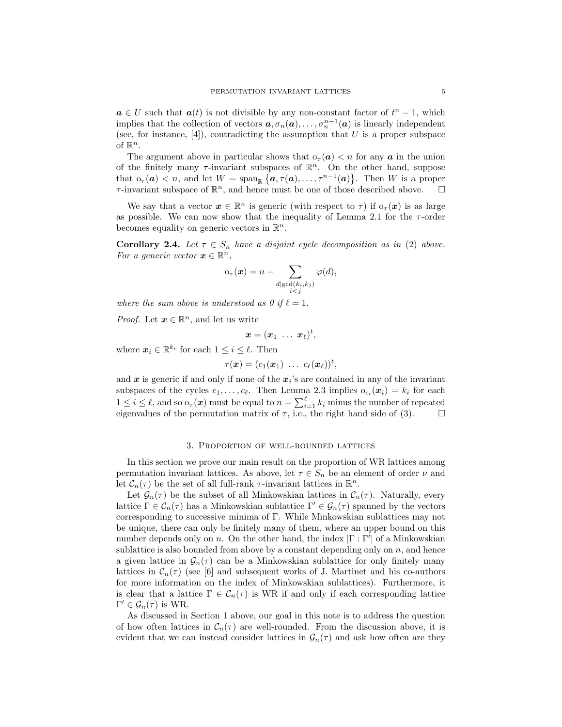$a \in U$  such that  $a(t)$  is not divisible by any non-constant factor of  $t<sup>n</sup> - 1$ , which implies that the collection of vectors  $a, \sigma_n(a), \ldots, \sigma_n^{n-1}(a)$  is linearly independent (see, for instance,  $[4]$ ), contradicting the assumption that U is a proper subspace of  $\mathbb{R}^n$ .

The argument above in particular shows that  $\sigma_{\tau}(\mathbf{a}) < n$  for any  $\mathbf{a}$  in the union of the finitely many  $\tau$ -invariant subspaces of  $\mathbb{R}^n$ . On the other hand, suppose that  $o_\tau(\boldsymbol{a}) < n$ , and let  $W = \text{span}_{\mathbb{R}} \{ \boldsymbol{a}, \tau(\boldsymbol{a}), \ldots, \tau^{n-1}(\boldsymbol{a}) \}.$  Then W is a proper  $\tau$ -invariant subspace of  $\mathbb{R}^n$ , and hence must be one of those described above.  $\Box$ 

We say that a vector  $\boldsymbol{x} \in \mathbb{R}^n$  is generic (with respect to  $\tau$ ) if  $o_{\tau}(\boldsymbol{x})$  is as large as possible. We can now show that the inequality of Lemma [2.1](#page-3-3) for the  $\tau$ -order becomes equality on generic vectors in  $\mathbb{R}^n$ .

<span id="page-5-1"></span>**Corollary 2.4.** Let  $\tau \in S_n$  have a disjoint cycle decomposition as in [\(2\)](#page-3-4) above. For a generic vector  $\boldsymbol{x} \in \mathbb{R}^n$ ,

$$
\mathrm{o}_{\tau}(\boldsymbol{x}) = n - \sum_{\substack{d \mid \gcd(k_i, k_j) \\ i < j}} \varphi(d),
$$

where the sum above is understood as 0 if  $\ell = 1$ .

*Proof.* Let  $x \in \mathbb{R}^n$ , and let us write

$$
\boldsymbol{x}=(\boldsymbol{x}_1 \ \ldots \ \boldsymbol{x}_\ell)^t,
$$

where  $\mathbf{x}_i \in \mathbb{R}^{k_i}$  for each  $1 \leq i \leq \ell$ . Then

$$
\tau(\boldsymbol{x})=(c_1(\boldsymbol{x}_1)\ \ldots\ c_\ell(\boldsymbol{x}_\ell))^t,
$$

and  $x$  is generic if and only if none of the  $x_i$ 's are contained in any of the invariant subspaces of the cycles  $c_1, \ldots, c_\ell$ . Then Lemma [2.3](#page-4-2) implies  $o_{c_i}(x_i) = k_i$  for each  $1 \leq i \leq \ell$ , and so  $\sigma_{\tau}(\boldsymbol{x})$  must be equal to  $n = \sum_{i=1}^{\ell} k_i$  minus the number of repeated eigenvalues of the permutation matrix of  $\tau$ , i.e., the right hand side of [\(3\)](#page-3-5).

#### 3. Proportion of well-rounded lattices

<span id="page-5-0"></span>In this section we prove our main result on the proportion of WR lattices among permutation invariant lattices. As above, let  $\tau \in S_n$  be an element of order  $\nu$  and let  $C_n(\tau)$  be the set of all full-rank  $\tau$ -invariant lattices in  $\mathbb{R}^n$ .

Let  $\mathcal{G}_n(\tau)$  be the subset of all Minkowskian lattices in  $\mathcal{C}_n(\tau)$ . Naturally, every lattice  $\Gamma \in \mathcal{C}_n(\tau)$  has a Minkowskian sublattice  $\Gamma' \in \mathcal{G}_n(\tau)$  spanned by the vectors corresponding to successive minima of Γ. While Minkowskian sublattices may not be unique, there can only be finitely many of them, where an upper bound on this number depends only on n. On the other hand, the index  $|\Gamma : \Gamma'|$  of a Minkowskian sublattice is also bounded from above by a constant depending only on  $n$ , and hence a given lattice in  $\mathcal{G}_n(\tau)$  can be a Minkowskian sublattice for only finitely many lattices in  $C_n(\tau)$  (see [\[6\]](#page-8-8) and subsequent works of J. Martinet and his co-authors for more information on the index of Minkowskian sublattices). Furthermore, it is clear that a lattice  $\Gamma \in \mathcal{C}_n(\tau)$  is WR if and only if each corresponding lattice  $\Gamma' \in \mathcal{G}_n(\tau)$  is WR.

As discussed in Section [1](#page-1-0) above, our goal in this note is to address the question of how often lattices in  $\mathcal{C}_n(\tau)$  are well-rounded. From the discussion above, it is evident that we can instead consider lattices in  $\mathcal{G}_n(\tau)$  and ask how often are they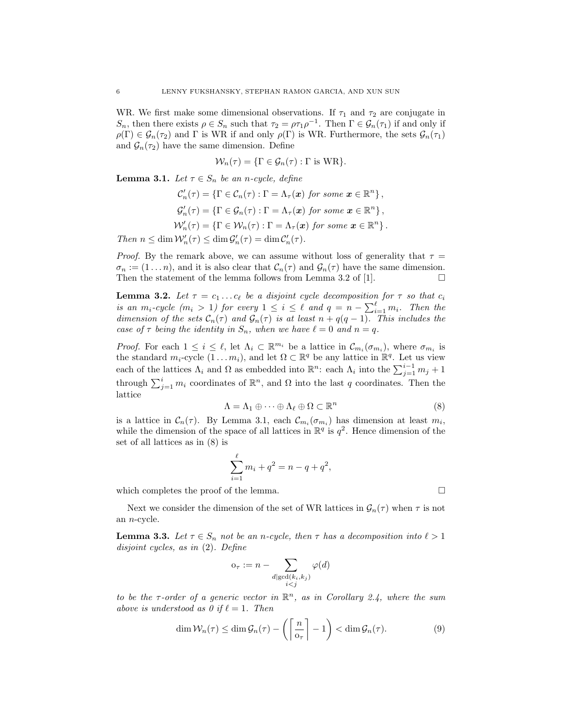WR. We first make some dimensional observations. If  $\tau_1$  and  $\tau_2$  are conjugate in  $S_n$ , then there exists  $\rho \in S_n$  such that  $\tau_2 = \rho \tau_1 \rho^{-1}$ . Then  $\Gamma \in \mathcal{G}_n(\tau_1)$  if and only if  $\rho(\Gamma) \in \mathcal{G}_n(\tau_2)$  and  $\Gamma$  is WR if and only  $\rho(\Gamma)$  is WR. Furthermore, the sets  $\mathcal{G}_n(\tau_1)$ and  $\mathcal{G}_n(\tau_2)$  have the same dimension. Define

$$
\mathcal{W}_n(\tau) = \{\Gamma \in \mathcal{G}_n(\tau) : \Gamma \text{ is WR}\}.
$$

<span id="page-6-0"></span>**Lemma 3.1.** Let  $\tau \in S_n$  be an n-cycle, define

$$
\mathcal{C}'_n(\tau) = \{ \Gamma \in \mathcal{C}_n(\tau) : \Gamma = \Lambda_\tau(\boldsymbol{x}) \text{ for some } \boldsymbol{x} \in \mathbb{R}^n \},
$$
  

$$
\mathcal{G}'_n(\tau) = \{ \Gamma \in \mathcal{G}_n(\tau) : \Gamma = \Lambda_\tau(\boldsymbol{x}) \text{ for some } \boldsymbol{x} \in \mathbb{R}^n \},
$$
  

$$
\mathcal{W}'_n(\tau) = \{ \Gamma \in \mathcal{W}_n(\tau) : \Gamma = \Lambda_\tau(\boldsymbol{x}) \text{ for some } \boldsymbol{x} \in \mathbb{R}^n \}.
$$

Then  $n \leq \dim \mathcal{W}'_n(\tau) \leq \dim \mathcal{G}'_n(\tau) = \dim \mathcal{C}'_n(\tau)$ .

*Proof.* By the remark above, we can assume without loss of generality that  $\tau =$  $\sigma_n := (1 \dots n)$ , and it is also clear that  $\mathcal{C}_n(\tau)$  and  $\mathcal{G}_n(\tau)$  have the same dimension. Then the statement of the lemma follows from Lemma 3.2 of [\[1\]](#page-8-2).  $\Box$ 

<span id="page-6-2"></span>**Lemma 3.2.** Let  $\tau = c_1 \ldots c_\ell$  be a disjoint cycle decomposition for  $\tau$  so that  $c_i$ is an  $m_i$ -cycle  $(m_i > 1)$  for every  $1 \leq i \leq \ell$  and  $q = n - \sum_{i=1}^{\ell} m_i$ . Then the dimension of the sets  $C_n(\tau)$  and  $\mathcal{G}_n(\tau)$  is at least  $n + q(q - 1)$ . This includes the case of  $\tau$  being the identity in  $S_n$ , when we have  $\ell = 0$  and  $n = q$ .

*Proof.* For each  $1 \leq i \leq \ell$ , let  $\Lambda_i \subset \mathbb{R}^{m_i}$  be a lattice in  $\mathcal{C}_{m_i}(\sigma_{m_i})$ , where  $\sigma_{m_i}$  is the standard  $m_i$ -cycle  $(1 \ldots m_i)$ , and let  $\Omega \subset \mathbb{R}^q$  be any lattice in  $\mathbb{R}^q$ . Let us view each of the lattices  $\Lambda_i$  and  $\Omega$  as embedded into  $\mathbb{R}^n$ : each  $\Lambda_i$  into the  $\sum_{j=1}^{i-1} m_j + 1$ through  $\sum_{j=1}^i m_i$  coordinates of  $\mathbb{R}^n$ , and  $\Omega$  into the last q coordinates. Then the lattice

<span id="page-6-1"></span>
$$
\Lambda = \Lambda_1 \oplus \cdots \oplus \Lambda_\ell \oplus \Omega \subset \mathbb{R}^n \tag{8}
$$

,

is a lattice in  $C_n(\tau)$ . By Lemma [3.1,](#page-6-0) each  $C_{m_i}(\sigma_{m_i})$  has dimension at least  $m_i$ , while the dimension of the space of all lattices in  $\mathbb{R}^q$  is  $q^2$ . Hence dimension of the set of all lattices as in [\(8\)](#page-6-1) is

$$
\sum_{i=1}^{\ell} m_i + q^2 = n - q + q^2
$$

which completes the proof of the lemma.

Next we consider the dimension of the set of WR lattices in  $\mathcal{G}_n(\tau)$  when  $\tau$  is not an n-cycle.

<span id="page-6-4"></span>**Lemma 3.3.** Let  $\tau \in S_n$  not be an n-cycle, then  $\tau$  has a decomposition into  $\ell > 1$ disjoint cycles, as in [\(2\)](#page-3-4). Define

$$
o_{\tau} := n - \sum_{\substack{d | \gcd(k_i, k_j) \\ i < j}} \varphi(d)
$$

to be the  $\tau$ -order of a generic vector in  $\mathbb{R}^n$ , as in Corollary [2.4,](#page-5-1) where the sum above is understood as 0 if  $\ell = 1$ . Then

<span id="page-6-3"></span>
$$
\dim \mathcal{W}_n(\tau) \le \dim \mathcal{G}_n(\tau) - \left( \left\lceil \frac{n}{\sigma_\tau} \right\rceil - 1 \right) < \dim \mathcal{G}_n(\tau). \tag{9}
$$

$$
\Box
$$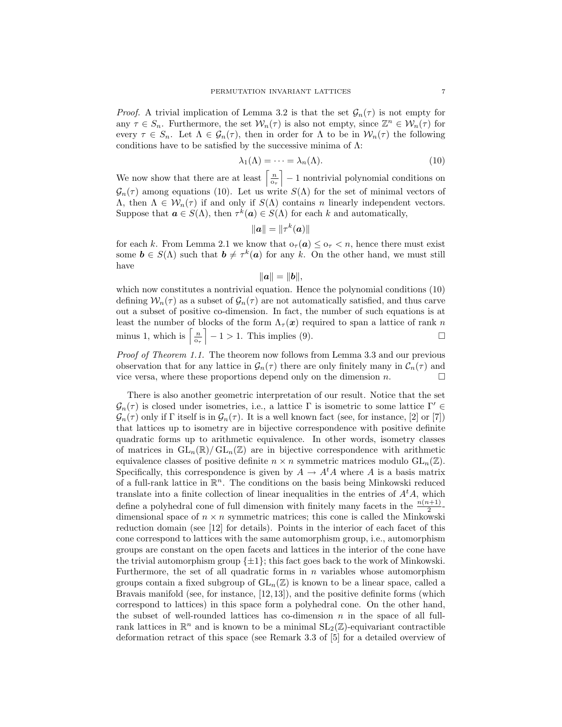*Proof.* A trivial implication of Lemma [3.2](#page-6-2) is that the set  $\mathcal{G}_n(\tau)$  is not empty for any  $\tau \in S_n$ . Furthermore, the set  $\mathcal{W}_n(\tau)$  is also not empty, since  $\mathbb{Z}^n \in \mathcal{W}_n(\tau)$  for every  $\tau \in S_n$ . Let  $\Lambda \in \mathcal{G}_n(\tau)$ , then in order for  $\Lambda$  to be in  $\mathcal{W}_n(\tau)$  the following conditions have to be satisfied by the successive minima of  $\Lambda$ :

<span id="page-7-0"></span>
$$
\lambda_1(\Lambda) = \dots = \lambda_n(\Lambda). \tag{10}
$$

We now show that there are at least  $\left\lceil \frac{n}{\sigma_{\tau}} \right\rceil - 1$  nontrivial polynomial conditions on  $\mathcal{G}_n(\tau)$  among equations [\(10\)](#page-7-0). Let us write  $S(\Lambda)$  for the set of minimal vectors of  $\Lambda$ , then  $\Lambda \in \mathcal{W}_n(\tau)$  if and only if  $S(\Lambda)$  contains n linearly independent vectors. Suppose that  $\mathbf{a} \in S(\Lambda)$ , then  $\tau^k(\mathbf{a}) \in S(\Lambda)$  for each k and automatically,

$$
\|\bm a\|=\|\tau^k(\bm a)\|
$$

for each k. From Lemma [2.1](#page-3-3) we know that  $\sigma_{\tau}(\mathbf{a}) \leq \sigma_{\tau} < n$ , hence there must exist some  $\mathbf{b} \in S(\Lambda)$  such that  $\mathbf{b} \neq \tau^k(\mathbf{a})$  for any k. On the other hand, we must still have

$$
\|\boldsymbol{a}\|=\|\boldsymbol{b}\|,
$$

which now constitutes a nontrivial equation. Hence the polynomial conditions  $(10)$ defining  $W_n(\tau)$  as a subset of  $\mathcal{G}_n(\tau)$  are not automatically satisfied, and thus carve out a subset of positive co-dimension. In fact, the number of such equations is at least the number of blocks of the form  $\Lambda_{\tau}(\boldsymbol{x})$  required to span a lattice of rank n minus 1, which is  $\left[\frac{n}{\sigma_{\tau}}\right] - 1 > 1$ . This implies [\(9\)](#page-6-3).

Proof of Theorem [1.1.](#page-2-0) The theorem now follows from Lemma [3.3](#page-6-4) and our previous observation that for any lattice in  $\mathcal{G}_n(\tau)$  there are only finitely many in  $\mathcal{C}_n(\tau)$  and vice versa, where these proportions depend only on the dimension  $n$ .

There is also another geometric interpretation of our result. Notice that the set  $\mathcal{G}_n(\tau)$  is closed under isometries, i.e., a lattice Γ is isometric to some lattice  $\Gamma' \in$  $\mathcal{G}_n(\tau)$  only if  $\Gamma$  itself is in  $\mathcal{G}_n(\tau)$ . It is a well known fact (see, for instance, [\[2\]](#page-8-9) or [\[7\]](#page-8-3)) that lattices up to isometry are in bijective correspondence with positive definite quadratic forms up to arithmetic equivalence. In other words, isometry classes of matrices in  $GL_n(\mathbb{R})/ GL_n(\mathbb{Z})$  are in bijective correspondence with arithmetic equivalence classes of positive definite  $n \times n$  symmetric matrices modulo  $GL_n(\mathbb{Z})$ . Specifically, this correspondence is given by  $A \to A^t A$  where A is a basis matrix of a full-rank lattice in  $\mathbb{R}^n$ . The conditions on the basis being Minkowski reduced translate into a finite collection of linear inequalities in the entries of  $A<sup>t</sup>A$ , which define a polyhedral cone of full dimension with finitely many facets in the  $\frac{n(n+1)}{2}$ dimensional space of  $n \times n$  symmetric matrices; this cone is called the Minkowski reduction domain (see [\[12\]](#page-8-4) for details). Points in the interior of each facet of this cone correspond to lattices with the same automorphism group, i.e., automorphism groups are constant on the open facets and lattices in the interior of the cone have the trivial automorphism group  $\{\pm 1\}$ ; this fact goes back to the work of Minkowski. Furthermore, the set of all quadratic forms in  $n$  variables whose automorphism groups contain a fixed subgroup of  $GL_n(\mathbb{Z})$  is known to be a linear space, called a Bravais manifold (see, for instance, [\[12,](#page-8-4) [13\]](#page-8-10)), and the positive definite forms (which correspond to lattices) in this space form a polyhedral cone. On the other hand, the subset of well-rounded lattices has co-dimension  $n$  in the space of all fullrank lattices in  $\mathbb{R}^n$  and is known to be a minimal  $SL_2(\mathbb{Z})$ -equivariant contractible deformation retract of this space (see Remark 3.3 of [\[5\]](#page-8-11) for a detailed overview of